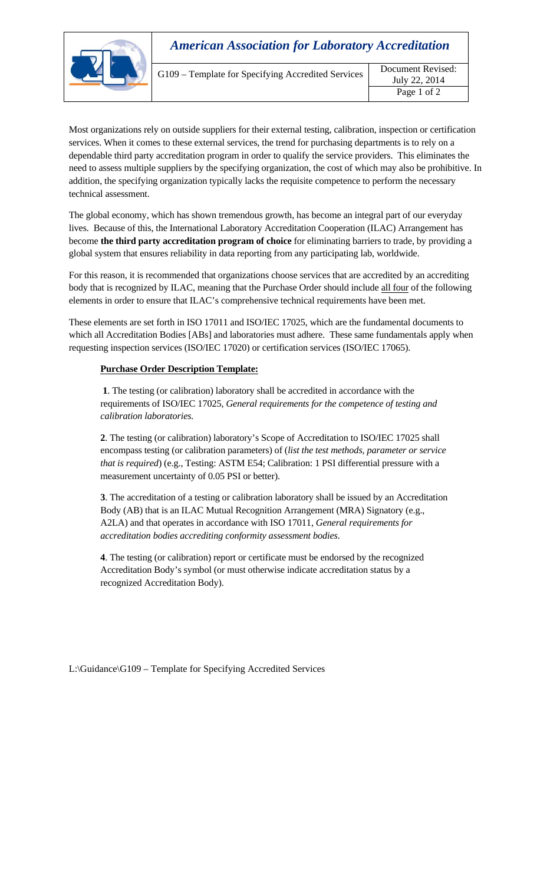|  | <b>American Association for Laboratory Accreditation</b> |                                    |  |
|--|----------------------------------------------------------|------------------------------------|--|
|  | G109 - Template for Specifying Accredited Services       | Document Revised:<br>July 22, 2014 |  |
|  |                                                          | Page 1 of 2                        |  |

Most organizations rely on outside suppliers for their external testing, calibration, inspection or certification services. When it comes to these external services, the trend for purchasing departments is to rely on a dependable third party accreditation program in order to qualify the service providers. This eliminates the need to assess multiple suppliers by the specifying organization, the cost of which may also be prohibitive. In addition, the specifying organization typically lacks the requisite competence to perform the necessary technical assessment.

The global economy, which has shown tremendous growth, has become an integral part of our everyday lives. Because of this, the International Laboratory Accreditation Cooperation (ILAC) Arrangement has become **the third party accreditation program of choice** for eliminating barriers to trade, by providing a global system that ensures reliability in data reporting from any participating lab, worldwide.

For this reason, it is recommended that organizations choose services that are accredited by an accrediting body that is recognized by ILAC, meaning that the Purchase Order should include all four of the following elements in order to ensure that ILAC's comprehensive technical requirements have been met.

These elements are set forth in ISO 17011 and ISO/IEC 17025, which are the fundamental documents to which all Accreditation Bodies [ABs] and laboratories must adhere. These same fundamentals apply when requesting inspection services (ISO/IEC 17020) or certification services (ISO/IEC 17065).

## **Purchase Order Description Template:**

**1**. The testing (or calibration) laboratory shall be accredited in accordance with the requirements of ISO/IEC 17025, *General requirements for the competence of testing and calibration laboratories.* 

**2**. The testing (or calibration) laboratory's Scope of Accreditation to ISO/IEC 17025 shall encompass testing (or calibration parameters) of (*list the test methods, parameter or service that is required*) (e.g., Testing: ASTM E54; Calibration: 1 PSI differential pressure with a measurement uncertainty of 0.05 PSI or better).

**3**. The accreditation of a testing or calibration laboratory shall be issued by an Accreditation Body (AB) that is an ILAC Mutual Recognition Arrangement (MRA) Signatory (e.g., A2LA) and that operates in accordance with ISO 17011, *General requirements for accreditation bodies accrediting conformity assessment bodies*.

**4**. The testing (or calibration) report or certificate must be endorsed by the recognized Accreditation Body's symbol (or must otherwise indicate accreditation status by a recognized Accreditation Body).

L:\Guidance\G109 – Template for Specifying Accredited Services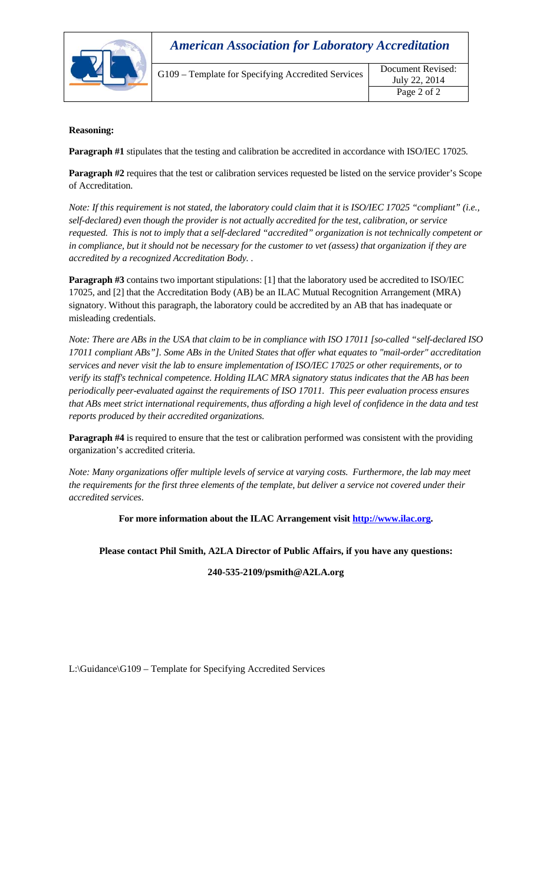

| G109 - Template for Specifying Accredited Services |  |
|----------------------------------------------------|--|
|                                                    |  |

## **Reasoning:**

**Paragraph #1** stipulates that the testing and calibration be accredited in accordance with ISO/IEC 17025*.* 

**Paragraph #2** requires that the test or calibration services requested be listed on the service provider's Scope of Accreditation.

*Note: If this requirement is not stated, the laboratory could claim that it is ISO/IEC 17025 "compliant" (i.e., self-declared) even though the provider is not actually accredited for the test, calibration, or service requested. This is not to imply that a self-declared "accredited" organization is not technically competent or in compliance, but it should not be necessary for the customer to vet (assess) that organization if they are accredited by a recognized Accreditation Body. .* 

**Paragraph #3** contains two important stipulations: [1] that the laboratory used be accredited to ISO/IEC 17025, and [2] that the Accreditation Body (AB) be an ILAC Mutual Recognition Arrangement (MRA) signatory. Without this paragraph, the laboratory could be accredited by an AB that has inadequate or misleading credentials.

*Note: There are ABs in the USA that claim to be in compliance with ISO 17011 [so-called "self-declared ISO 17011 compliant ABs"]. Some ABs in the United States that offer what equates to "mail-order" accreditation services and never visit the lab to ensure implementation of ISO/IEC 17025 or other requirements, or to verify its staff's technical competence. Holding ILAC MRA signatory status indicates that the AB has been periodically peer-evaluated against the requirements of ISO 17011. This peer evaluation process ensures that ABs meet strict international requirements, thus affording a high level of confidence in the data and test reports produced by their accredited organizations.* 

**Paragraph #4** is required to ensure that the test or calibration performed was consistent with the providing organization's accredited criteria.

*Note: Many organizations offer multiple levels of service at varying costs. Furthermore, the lab may meet the requirements for the first three elements of the template, but deliver a service not covered under their accredited services*.

**For more information about the ILAC Arrangement visit http://www.ilac.org.** 

**Please contact Phil Smith, A2LA Director of Public Affairs, if you have any questions:** 

**240-535-2109/psmith@A2LA.org** 

L:\Guidance\G109 – Template for Specifying Accredited Services